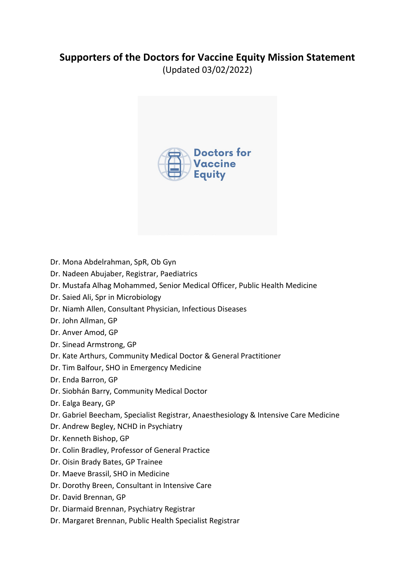## **Supporters of the Doctors for Vaccine Equity Mission Statement**

(Updated 03/02/2022)



- Dr. Mona Abdelrahman, SpR, Ob Gyn
- Dr. Nadeen Abujaber, Registrar, Paediatrics
- Dr. Mustafa Alhag Mohammed, Senior Medical Officer, Public Health Medicine
- Dr. Saied Ali, Spr in Microbiology
- Dr. Niamh Allen, Consultant Physician, Infectious Diseases
- Dr. John Allman, GP
- Dr. Anver Amod, GP
- Dr. Sinead Armstrong, GP
- Dr. Kate Arthurs, Community Medical Doctor & General Practitioner
- Dr. Tim Balfour, SHO in Emergency Medicine
- Dr. Enda Barron, GP
- Dr. Siobhán Barry, Community Medical Doctor
- Dr. Ealga Beary, GP
- Dr. Gabriel Beecham, Specialist Registrar, Anaesthesiology & Intensive Care Medicine
- Dr. Andrew Begley, NCHD in Psychiatry
- Dr. Kenneth Bishop, GP
- Dr. Colin Bradley, Professor of General Practice
- Dr. Oisin Brady Bates, GP Trainee
- Dr. Maeve Brassil, SHO in Medicine
- Dr. Dorothy Breen, Consultant in Intensive Care
- Dr. David Brennan, GP
- Dr. Diarmaid Brennan, Psychiatry Registrar
- Dr. Margaret Brennan, Public Health Specialist Registrar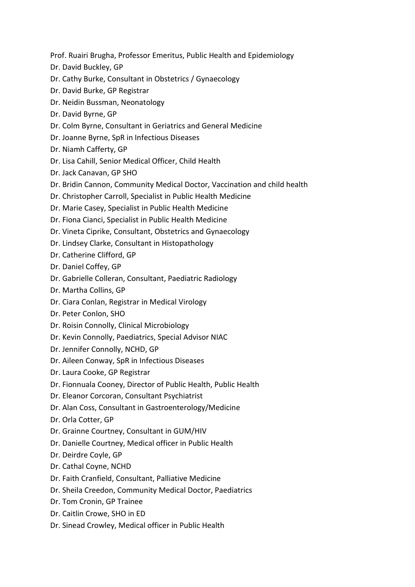Prof. Ruairi Brugha, Professor Emeritus, Public Health and Epidemiology

- Dr. David Buckley, GP
- Dr. Cathy Burke, Consultant in Obstetrics / Gynaecology
- Dr. David Burke, GP Registrar
- Dr. Neidin Bussman, Neonatology
- Dr. David Byrne, GP
- Dr. Colm Byrne, Consultant in Geriatrics and General Medicine
- Dr. Joanne Byrne, SpR in Infectious Diseases
- Dr. Niamh Cafferty, GP
- Dr. Lisa Cahill, Senior Medical Officer, Child Health
- Dr. Jack Canavan, GP SHO
- Dr. Bridin Cannon, Community Medical Doctor, Vaccination and child health
- Dr. Christopher Carroll, Specialist in Public Health Medicine
- Dr. Marie Casey, Specialist in Public Health Medicine
- Dr. Fiona Cianci, Specialist in Public Health Medicine
- Dr. Vineta Ciprike, Consultant, Obstetrics and Gynaecology
- Dr. Lindsey Clarke, Consultant in Histopathology
- Dr. Catherine Clifford, GP
- Dr. Daniel Coffey, GP
- Dr. Gabrielle Colleran, Consultant, Paediatric Radiology
- Dr. Martha Collins, GP
- Dr. Ciara Conlan, Registrar in Medical Virology
- Dr. Peter Conlon, SHO
- Dr. Roisin Connolly, Clinical Microbiology
- Dr. Kevin Connolly, Paediatrics, Special Advisor NIAC
- Dr. Jennifer Connolly, NCHD, GP
- Dr. Aileen Conway, SpR in Infectious Diseases
- Dr. Laura Cooke, GP Registrar
- Dr. Fionnuala Cooney, Director of Public Health, Public Health
- Dr. Eleanor Corcoran, Consultant Psychiatrist
- Dr. Alan Coss, Consultant in Gastroenterology/Medicine
- Dr. Orla Cotter, GP
- Dr. Grainne Courtney, Consultant in GUM/HIV
- Dr. Danielle Courtney, Medical officer in Public Health
- Dr. Deirdre Coyle, GP
- Dr. Cathal Coyne, NCHD
- Dr. Faith Cranfield, Consultant, Palliative Medicine
- Dr. Sheila Creedon, Community Medical Doctor, Paediatrics
- Dr. Tom Cronin, GP Trainee
- Dr. Caitlin Crowe, SHO in ED
- Dr. Sinead Crowley, Medical officer in Public Health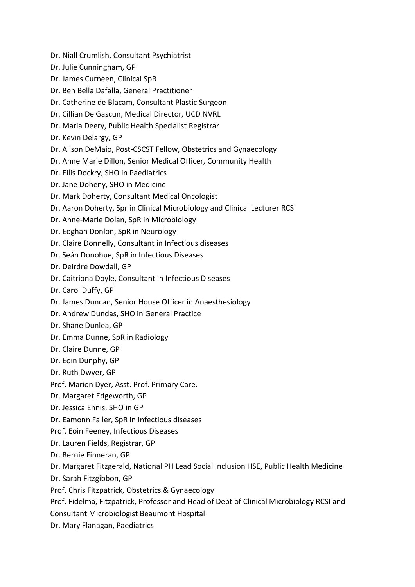Dr. Niall Crumlish, Consultant Psychiatrist

- Dr. Julie Cunningham, GP
- Dr. James Curneen, Clinical SpR
- Dr. Ben Bella Dafalla, General Practitioner
- Dr. Catherine de Blacam, Consultant Plastic Surgeon
- Dr. Cillian De Gascun, Medical Director, UCD NVRL
- Dr. Maria Deery, Public Health Specialist Registrar
- Dr. Kevin Delargy, GP
- Dr. Alison DeMaio, Post-CSCST Fellow, Obstetrics and Gynaecology
- Dr. Anne Marie Dillon, Senior Medical Officer, Community Health
- Dr. Eilis Dockry, SHO in Paediatrics
- Dr. Jane Doheny, SHO in Medicine
- Dr. Mark Doherty, Consultant Medical Oncologist
- Dr. Aaron Doherty, Spr in Clinical Microbiology and Clinical Lecturer RCSI
- Dr. Anne-Marie Dolan, SpR in Microbiology
- Dr. Eoghan Donlon, SpR in Neurology
- Dr. Claire Donnelly, Consultant in Infectious diseases
- Dr. Seán Donohue, SpR in Infectious Diseases
- Dr. Deirdre Dowdall, GP
- Dr. Caitriona Doyle, Consultant in Infectious Diseases
- Dr. Carol Duffy, GP
- Dr. James Duncan, Senior House Officer in Anaesthesiology
- Dr. Andrew Dundas, SHO in General Practice
- Dr. Shane Dunlea, GP
- Dr. Emma Dunne, SpR in Radiology
- Dr. Claire Dunne, GP
- Dr. Eoin Dunphy, GP
- Dr. Ruth Dwyer, GP
- Prof. Marion Dyer, Asst. Prof. Primary Care.
- Dr. Margaret Edgeworth, GP
- Dr. Jessica Ennis, SHO in GP
- Dr. Eamonn Faller, SpR in Infectious diseases
- Prof. Eoin Feeney, Infectious Diseases
- Dr. Lauren Fields, Registrar, GP
- Dr. Bernie Finneran, GP
- Dr. Margaret Fitzgerald, National PH Lead Social Inclusion HSE, Public Health Medicine
- Dr. Sarah Fitzgibbon, GP
- Prof. Chris Fitzpatrick, Obstetrics & Gynaecology
- Prof. Fidelma, Fitzpatrick, Professor and Head of Dept of Clinical Microbiology RCSI and
- Consultant Microbiologist Beaumont Hospital
- Dr. Mary Flanagan, Paediatrics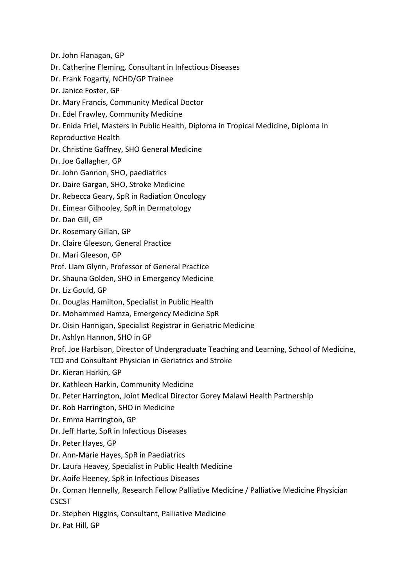- Dr. John Flanagan, GP
- Dr. Catherine Fleming, Consultant in Infectious Diseases
- Dr. Frank Fogarty, NCHD/GP Trainee
- Dr. Janice Foster, GP
- Dr. Mary Francis, Community Medical Doctor
- Dr. Edel Frawley, Community Medicine
- Dr. Enida Friel, Masters in Public Health, Diploma in Tropical Medicine, Diploma in
- Reproductive Health
- Dr. Christine Gaffney, SHO General Medicine
- Dr. Joe Gallagher, GP
- Dr. John Gannon, SHO, paediatrics
- Dr. Daire Gargan, SHO, Stroke Medicine
- Dr. Rebecca Geary, SpR in Radiation Oncology
- Dr. Eimear Gilhooley, SpR in Dermatology
- Dr. Dan Gill, GP
- Dr. Rosemary Gillan, GP
- Dr. Claire Gleeson, General Practice
- Dr. Mari Gleeson, GP
- Prof. Liam Glynn, Professor of General Practice
- Dr. Shauna Golden, SHO in Emergency Medicine
- Dr. Liz Gould, GP
- Dr. Douglas Hamilton, Specialist in Public Health
- Dr. Mohammed Hamza, Emergency Medicine SpR
- Dr. Oisin Hannigan, Specialist Registrar in Geriatric Medicine
- Dr. Ashlyn Hannon, SHO in GP
- Prof. Joe Harbison, Director of Undergraduate Teaching and Learning, School of Medicine,
- TCD and Consultant Physician in Geriatrics and Stroke
- Dr. Kieran Harkin, GP
- Dr. Kathleen Harkin, Community Medicine
- Dr. Peter Harrington, Joint Medical Director Gorey Malawi Health Partnership
- Dr. Rob Harrington, SHO in Medicine
- Dr. Emma Harrington, GP
- Dr. Jeff Harte, SpR in Infectious Diseases
- Dr. Peter Hayes, GP
- Dr. Ann-Marie Hayes, SpR in Paediatrics
- Dr. Laura Heavey, Specialist in Public Health Medicine
- Dr. Aoife Heeney, SpR in Infectious Diseases
- Dr. Coman Hennelly, Research Fellow Palliative Medicine / Palliative Medicine Physician **CSCST**
- Dr. Stephen Higgins, Consultant, Palliative Medicine
- Dr. Pat Hill, GP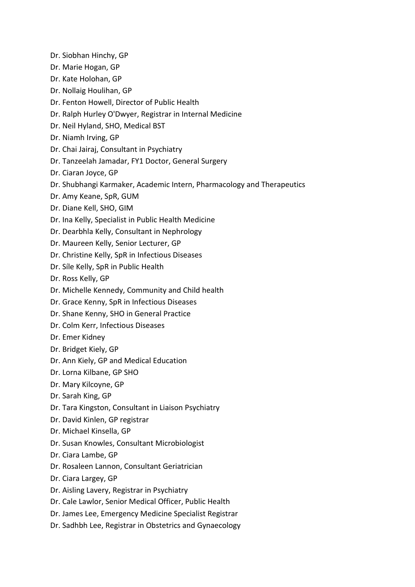- Dr. Siobhan Hinchy, GP
- Dr. Marie Hogan, GP
- Dr. Kate Holohan, GP
- Dr. Nollaig Houlihan, GP
- Dr. Fenton Howell, Director of Public Health
- Dr. Ralph Hurley O'Dwyer, Registrar in Internal Medicine
- Dr. Neil Hyland, SHO, Medical BST
- Dr. Niamh Irving, GP
- Dr. Chai Jairaj, Consultant in Psychiatry
- Dr. Tanzeelah Jamadar, FY1 Doctor, General Surgery
- Dr. Ciaran Joyce, GP
- Dr. Shubhangi Karmaker, Academic Intern, Pharmacology and Therapeutics
- Dr. Amy Keane, SpR, GUM
- Dr. Diane Kell, SHO, GIM
- Dr. Ina Kelly, Specialist in Public Health Medicine
- Dr. Dearbhla Kelly, Consultant in Nephrology
- Dr. Maureen Kelly, Senior Lecturer, GP
- Dr. Christine Kelly, SpR in Infectious Diseases
- Dr. Síle Kelly, SpR in Public Health
- Dr. Ross Kelly, GP
- Dr. Michelle Kennedy, Community and Child health
- Dr. Grace Kenny, SpR in Infectious Diseases
- Dr. Shane Kenny, SHO in General Practice
- Dr. Colm Kerr, Infectious Diseases
- Dr. Emer Kidney
- Dr. Bridget Kiely, GP
- Dr. Ann Kiely, GP and Medical Education
- Dr. Lorna Kilbane, GP SHO
- Dr. Mary Kilcoyne, GP
- Dr. Sarah King, GP
- Dr. Tara Kingston, Consultant in Liaison Psychiatry
- Dr. David Kinlen, GP registrar
- Dr. Michael Kinsella, GP
- Dr. Susan Knowles, Consultant Microbiologist
- Dr. Ciara Lambe, GP
- Dr. Rosaleen Lannon, Consultant Geriatrician
- Dr. Ciara Largey, GP
- Dr. Aisling Lavery, Registrar in Psychiatry
- Dr. Cale Lawlor, Senior Medical Officer, Public Health
- Dr. James Lee, Emergency Medicine Specialist Registrar
- Dr. Sadhbh Lee, Registrar in Obstetrics and Gynaecology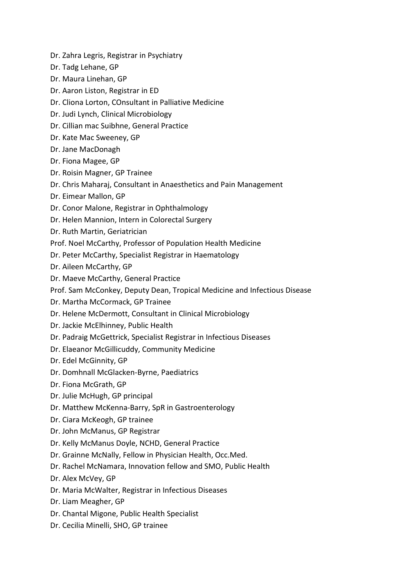- Dr. Zahra Legris, Registrar in Psychiatry
- Dr. Tadg Lehane, GP
- Dr. Maura Linehan, GP
- Dr. Aaron Liston, Registrar in ED
- Dr. Cliona Lorton, COnsultant in Palliative Medicine
- Dr. Judi Lynch, Clinical Microbiology
- Dr. Cillian mac Suibhne, General Practice
- Dr. Kate Mac Sweeney, GP
- Dr. Jane MacDonagh
- Dr. Fiona Magee, GP
- Dr. Roisin Magner, GP Trainee
- Dr. Chris Maharaj, Consultant in Anaesthetics and Pain Management
- Dr. Eimear Mallon, GP
- Dr. Conor Malone, Registrar in Ophthalmology
- Dr. Helen Mannion, Intern in Colorectal Surgery
- Dr. Ruth Martin, Geriatrician
- Prof. Noel McCarthy, Professor of Population Health Medicine
- Dr. Peter McCarthy, Specialist Registrar in Haematology
- Dr. Aileen McCarthy, GP
- Dr. Maeve McCarthy, General Practice
- Prof. Sam McConkey, Deputy Dean, Tropical Medicine and Infectious Disease
- Dr. Martha McCormack, GP Trainee
- Dr. Helene McDermott, Consultant in Clinical Microbiology
- Dr. Jackie McElhinney, Public Health
- Dr. Padraig McGettrick, Specialist Registrar in Infectious Diseases
- Dr. Elaeanor McGillicuddy, Community Medicine
- Dr. Edel McGinnity, GP
- Dr. Domhnall McGlacken-Byrne, Paediatrics
- Dr. Fiona McGrath, GP
- Dr. Julie McHugh, GP principal
- Dr. Matthew McKenna-Barry, SpR in Gastroenterology
- Dr. Ciara McKeogh, GP trainee
- Dr. John McManus, GP Registrar
- Dr. Kelly McManus Doyle, NCHD, General Practice
- Dr. Grainne McNally, Fellow in Physician Health, Occ.Med.
- Dr. Rachel McNamara, Innovation fellow and SMO, Public Health
- Dr. Alex McVey, GP
- Dr. Maria McWalter, Registrar in Infectious Diseases
- Dr. Liam Meagher, GP
- Dr. Chantal Migone, Public Health Specialist
- Dr. Cecilia Minelli, SHO, GP trainee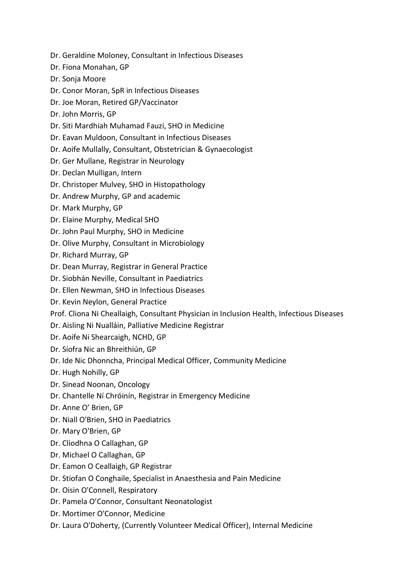- Dr. Geraldine Moloney, Consultant in Infectious Diseases
- Dr. Fiona Monahan, GP
- Dr. Sonja Moore
- Dr. Conor Moran, SpR in Infectious Diseases
- Dr. Joe Moran, Retired GP/Vaccinator
- Dr. John Morris, GP
- Dr. Siti Mardhiah Muhamad Fauzi, SHO in Medicine
- Dr. Eavan Muldoon, Consultant in Infectious Diseases
- Dr. Aoife Mullally, Consultant, Obstetrician & Gynaecologist
- Dr. Ger Mullane, Registrar in Neurology
- Dr. Declan Mulligan, Intern
- Dr. Christoper Mulvey, SHO in Histopathology
- Dr. Andrew Murphy, GP and academic
- Dr. Mark Murphy, GP
- Dr. Elaine Murphy, Medical SHO
- Dr. John Paul Murphy, SHO in Medicine
- Dr. Olive Murphy, Consultant in Microbiology
- Dr. Richard Murray, GP
- Dr. Dean Murray, Registrar in General Practice
- Dr. Siobhán Neville, Consultant in Paediatrics
- Dr. Ellen Newman, SHO in Infectious Diseases
- Dr. Kevin Neylon, General Practice
- Prof. Cliona Ni Cheallaigh, Consultant Physician in Inclusion Health, Infectious Diseases
- Dr. Aisling Ni Nualláin, Palliative Medicine Registrar
- Dr. Aoife Ni Shearcaigh, NCHD, GP
- Dr. Síofra Nic an Bhreithiún, GP
- Dr. Ide Nic Dhonncha, Principal Medical Officer, Community Medicine
- Dr. Hugh Nohilly, GP
- Dr. Sinead Noonan, Oncology
- Dr. Chantelle Ní Chróinín, Registrar in Emergency Medicine
- Dr. Anne O' Brien, GP
- Dr. Niall O'Brien, SHO in Paediatrics
- Dr. Mary O'Brien, GP
- Dr. Cliodhna O Callaghan, GP
- Dr. Michael O Callaghan, GP
- Dr. Eamon O Ceallaigh, GP Registrar
- Dr. Stiofan O Conghaile, Specialist in Anaesthesia and Pain Medicine
- Dr. Oisin O'Connell, Respiratory
- Dr. Pamela O'Connor, Consultant Neonatologist
- Dr. Mortimer O'Connor, Medicine
- Dr. Laura O'Doherty, (Currently Volunteer Medical Officer), Internal Medicine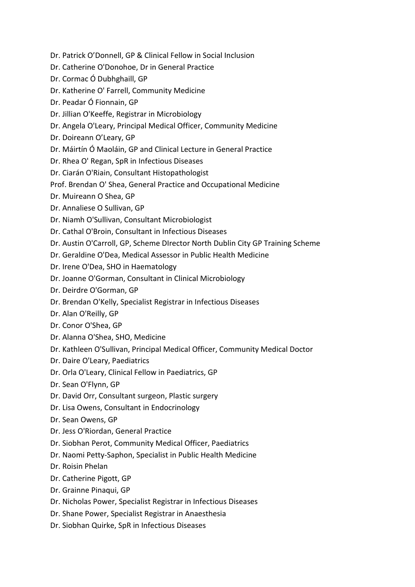- Dr. Patrick O'Donnell, GP & Clinical Fellow in Social Inclusion
- Dr. Catherine O'Donohoe, Dr in General Practice
- Dr. Cormac Ó Dubhghaill, GP
- Dr. Katherine O' Farrell, Community Medicine
- Dr. Peadar Ó Fionnain, GP
- Dr. Jillian O'Keeffe, Registrar in Microbiology
- Dr. Angela O'Leary, Principal Medical Officer, Community Medicine
- Dr. Doireann O'Leary, GP
- Dr. Máirtín Ó Maoláin, GP and Clinical Lecture in General Practice
- Dr. Rhea O' Regan, SpR in Infectious Diseases
- Dr. Ciarán O'Riain, Consultant Histopathologist
- Prof. Brendan O' Shea, General Practice and Occupational Medicine
- Dr. Muireann O Shea, GP
- Dr. Annaliese O Sullivan, GP
- Dr. Niamh O'Sullivan, Consultant Microbiologist
- Dr. Cathal O'Broin, Consultant in Infectious Diseases
- Dr. Austin O'Carroll, GP, Scheme DIrector North Dublin City GP Training Scheme
- Dr. Geraldine O'Dea, Medical Assessor in Public Health Medicine
- Dr. Irene O'Dea, SHO in Haematology
- Dr. Joanne O'Gorman, Consultant in Clinical Microbiology
- Dr. Deirdre O'Gorman, GP
- Dr. Brendan O'Kelly, Specialist Registrar in Infectious Diseases
- Dr. Alan O'Reilly, GP
- Dr. Conor O'Shea, GP
- Dr. Alanna O'Shea, SHO, Medicine
- Dr. Kathleen O'Sullivan, Principal Medical Officer, Community Medical Doctor
- Dr. Daire O'Leary, Paediatrics
- Dr. Orla O'Leary, Clinical Fellow in Paediatrics, GP
- Dr. Sean O'Flynn, GP
- Dr. David Orr, Consultant surgeon, Plastic surgery
- Dr. Lisa Owens, Consultant in Endocrinology
- Dr. Sean Owens, GP
- Dr. Jess O'Riordan, General Practice
- Dr. Siobhan Perot, Community Medical Officer, Paediatrics
- Dr. Naomi Petty-Saphon, Specialist in Public Health Medicine
- Dr. Roisin Phelan
- Dr. Catherine Pigott, GP
- Dr. Grainne Pinaqui, GP
- Dr. Nicholas Power, Specialist Registrar in Infectious Diseases
- Dr. Shane Power, Specialist Registrar in Anaesthesia
- Dr. Siobhan Quirke, SpR in Infectious Diseases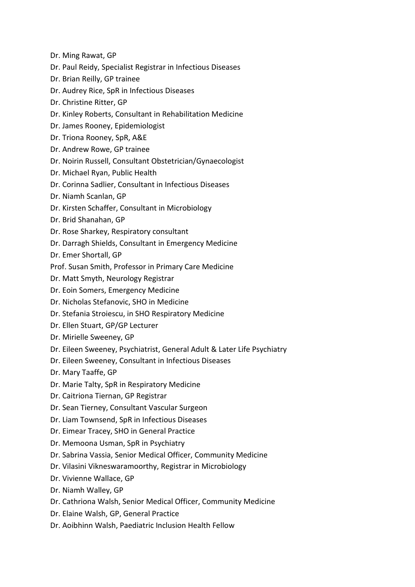- Dr. Ming Rawat, GP
- Dr. Paul Reidy, Specialist Registrar in Infectious Diseases
- Dr. Brian Reilly, GP trainee
- Dr. Audrey Rice, SpR in Infectious Diseases
- Dr. Christine Ritter, GP
- Dr. Kinley Roberts, Consultant in Rehabilitation Medicine
- Dr. James Rooney, Epidemiologist
- Dr. Triona Rooney, SpR, A&E
- Dr. Andrew Rowe, GP trainee
- Dr. Noirin Russell, Consultant Obstetrician/Gynaecologist
- Dr. Michael Ryan, Public Health
- Dr. Corinna Sadlier, Consultant in Infectious Diseases
- Dr. Niamh Scanlan, GP
- Dr. Kirsten Schaffer, Consultant in Microbiology
- Dr. Brid Shanahan, GP
- Dr. Rose Sharkey, Respiratory consultant
- Dr. Darragh Shields, Consultant in Emergency Medicine
- Dr. Emer Shortall, GP
- Prof. Susan Smith, Professor in Primary Care Medicine
- Dr. Matt Smyth, Neurology Registrar
- Dr. Eoin Somers, Emergency Medicine
- Dr. Nicholas Stefanovic, SHO in Medicine
- Dr. Stefania Stroiescu, in SHO Respiratory Medicine
- Dr. Ellen Stuart, GP/GP Lecturer
- Dr. Mirielle Sweeney, GP
- Dr. Eileen Sweeney, Psychiatrist, General Adult & Later Life Psychiatry
- Dr. Eileen Sweeney, Consultant in Infectious Diseases
- Dr. Mary Taaffe, GP
- Dr. Marie Talty, SpR in Respiratory Medicine
- Dr. Caitriona Tiernan, GP Registrar
- Dr. Sean Tierney, Consultant Vascular Surgeon
- Dr. Liam Townsend, SpR in Infectious Diseases
- Dr. Eimear Tracey, SHO in General Practice
- Dr. Memoona Usman, SpR in Psychiatry
- Dr. Sabrina Vassia, Senior Medical Officer, Community Medicine
- Dr. Vilasini Vikneswaramoorthy, Registrar in Microbiology
- Dr. Vivienne Wallace, GP
- Dr. Niamh Walley, GP
- Dr. Cathriona Walsh, Senior Medical Officer, Community Medicine
- Dr. Elaine Walsh, GP, General Practice
- Dr. Aoibhinn Walsh, Paediatric Inclusion Health Fellow